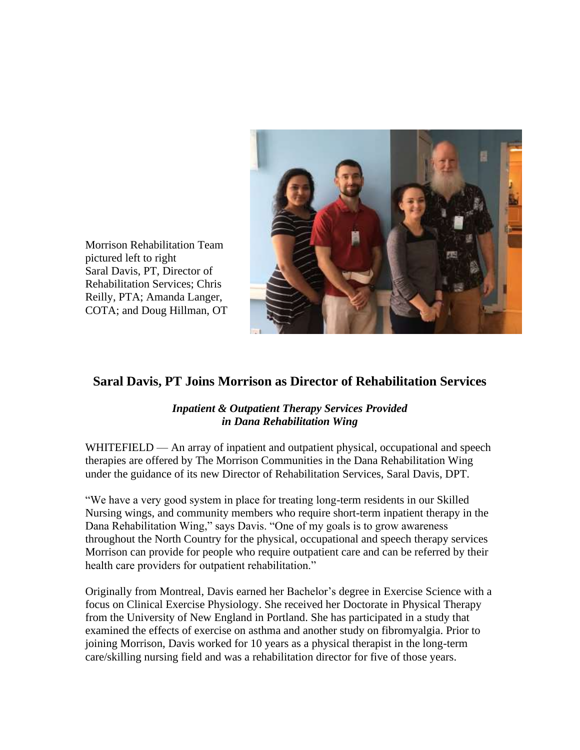

Morrison Rehabilitation Team pictured left to right Saral Davis, PT, Director of Rehabilitation Services; Chris Reilly, PTA; Amanda Langer, COTA; and Doug Hillman, OT

## **Saral Davis, PT Joins Morrison as Director of Rehabilitation Services**

## *Inpatient & Outpatient Therapy Services Provided in Dana Rehabilitation Wing*

WHITEFIELD — An array of inpatient and outpatient physical, occupational and speech therapies are offered by The Morrison Communities in the Dana Rehabilitation Wing under the guidance of its new Director of Rehabilitation Services, Saral Davis, DPT.

"We have a very good system in place for treating long-term residents in our Skilled Nursing wings, and community members who require short-term inpatient therapy in the Dana Rehabilitation Wing," says Davis. "One of my goals is to grow awareness throughout the North Country for the physical, occupational and speech therapy services Morrison can provide for people who require outpatient care and can be referred by their health care providers for outpatient rehabilitation."

Originally from Montreal, Davis earned her Bachelor's degree in Exercise Science with a focus on Clinical Exercise Physiology. She received her Doctorate in Physical Therapy from the University of New England in Portland. She has participated in a study that examined the effects of exercise on asthma and another study on fibromyalgia. Prior to joining Morrison, Davis worked for 10 years as a physical therapist in the long-term care/skilling nursing field and was a rehabilitation director for five of those years.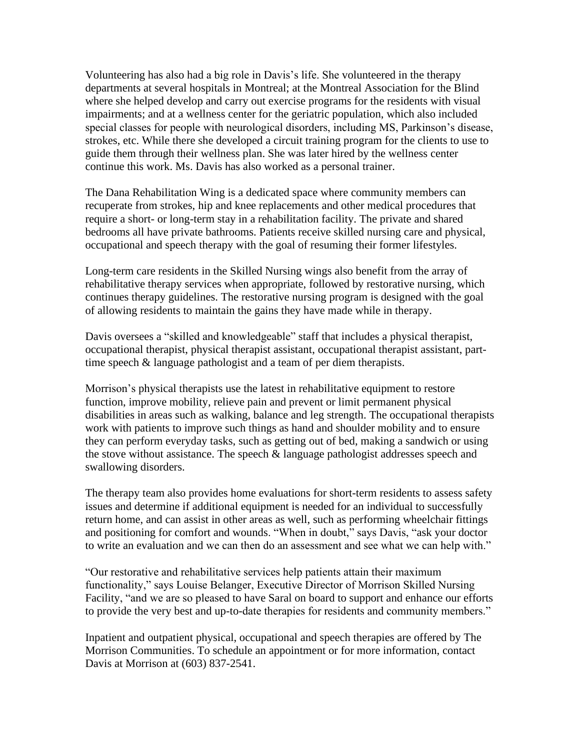Volunteering has also had a big role in Davis's life. She volunteered in the therapy departments at several hospitals in Montreal; at the Montreal Association for the Blind where she helped develop and carry out exercise programs for the residents with visual impairments; and at a wellness center for the geriatric population, which also included special classes for people with neurological disorders, including MS, Parkinson's disease, strokes, etc. While there she developed a circuit training program for the clients to use to guide them through their wellness plan. She was later hired by the wellness center continue this work. Ms. Davis has also worked as a personal trainer.

The Dana Rehabilitation Wing is a dedicated space where community members can recuperate from strokes, hip and knee replacements and other medical procedures that require a short- or long-term stay in a rehabilitation facility. The private and shared bedrooms all have private bathrooms. Patients receive skilled nursing care and physical, occupational and speech therapy with the goal of resuming their former lifestyles.

Long-term care residents in the Skilled Nursing wings also benefit from the array of rehabilitative therapy services when appropriate, followed by restorative nursing, which continues therapy guidelines. The restorative nursing program is designed with the goal of allowing residents to maintain the gains they have made while in therapy.

Davis oversees a "skilled and knowledgeable" staff that includes a physical therapist, occupational therapist, physical therapist assistant, occupational therapist assistant, parttime speech & language pathologist and a team of per diem therapists.

Morrison's physical therapists use the latest in rehabilitative equipment to restore function, improve mobility, relieve pain and prevent or limit permanent physical disabilities in areas such as walking, balance and leg strength. The occupational therapists work with patients to improve such things as hand and shoulder mobility and to ensure they can perform everyday tasks, such as getting out of bed, making a sandwich or using the stove without assistance. The speech  $\&$  language pathologist addresses speech and swallowing disorders.

The therapy team also provides home evaluations for short-term residents to assess safety issues and determine if additional equipment is needed for an individual to successfully return home, and can assist in other areas as well, such as performing wheelchair fittings and positioning for comfort and wounds. "When in doubt," says Davis, "ask your doctor to write an evaluation and we can then do an assessment and see what we can help with."

"Our restorative and rehabilitative services help patients attain their maximum functionality," says Louise Belanger, Executive Director of Morrison Skilled Nursing Facility, "and we are so pleased to have Saral on board to support and enhance our efforts to provide the very best and up-to-date therapies for residents and community members."

Inpatient and outpatient physical, occupational and speech therapies are offered by The Morrison Communities. To schedule an appointment or for more information, contact Davis at Morrison at (603) 837-2541.